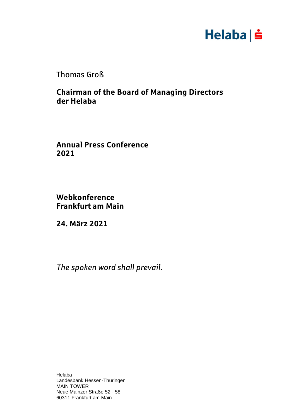

Thomas Groß

**Chairman of the Board of Managing Directors der Helaba**

**Annual Press Conference 2021**

**Webkonference Frankfurt am Main**

**24. März 2021**

*The spoken word shall prevail.*

Helaba Landesbank Hessen-Thüringen MAIN TOWER Neue Mainzer Straße 52 - 58 60311 Frankfurt am Main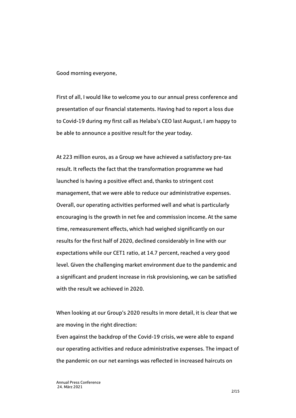Good morning everyone,

First of all, I would like to welcome you to our annual press conference and presentation of our financial statements. Having had to report a loss due to Covid-19 during my first call as Helaba's CEO last August, I am happy to be able to announce a positive result for the year today.

At 223 million euros, as a Group we have achieved a satisfactory pre-tax result. It reflects the fact that the transformation programme we had launched is having a positive effect and, thanks to stringent cost management, that we were able to reduce our administrative expenses. Overall, our operating activities performed well and what is particularly encouraging is the growth in net fee and commission income. At the same time, remeasurement effects, which had weighed significantly on our results for the first half of 2020, declined considerably in line with our expectations while our CET1 ratio, at 14.7 percent, reached a very good level. Given the challenging market environment due to the pandemic and a significant and prudent increase in risk provisioning, we can be satisfied with the result we achieved in 2020.

When looking at our Group's 2020 results in more detail, it is clear that we are moving in the right direction:

Even against the backdrop of the Covid-19 crisis, we were able to expand our operating activities and reduce administrative expenses. The impact of the pandemic on our net earnings was reflected in increased haircuts on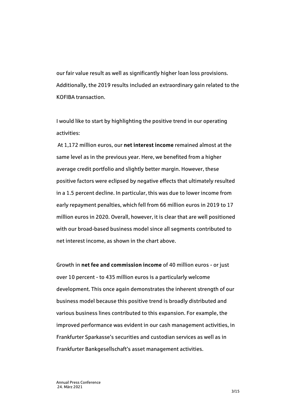our fair value result as well as significantly higher loan loss provisions. Additionally, the 2019 results included an extraordinary gain related to the KOFIBA transaction.

I would like to start by highlighting the positive trend in our operating activities:

At 1,172 million euros, our **net interest income** remained almost at the same level as in the previous year. Here, we benefited from a higher average credit portfolio and slightly better margin. However, these positive factors were eclipsed by negative effects that ultimately resulted in a 1.5 percent decline. In particular, this was due to lower income from early repayment penalties, which fell from 66 million euros in 2019 to 17 million euros in 2020. Overall, however, it is clear that are well positioned with our broad-based business model since all segments contributed to net interest income, as shown in the chart above.

Growth in **net fee and commission income** of 40 million euros - or just over 10 percent - to 435 million euros is a particularly welcome development. This once again demonstrates the inherent strength of our business model because this positive trend is broadly distributed and various business lines contributed to this expansion. For example, the improved performance was evident in our cash management activities, in Frankfurter Sparkasse's securities and custodian services as well as in Frankfurter Bankgesellschaft's asset management activities.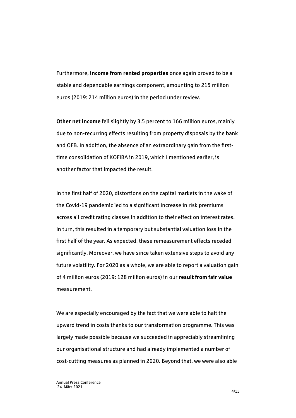Furthermore, **income from rented properties** once again proved to be a stable and dependable earnings component, amounting to 215 million euros (2019: 214 million euros) in the period under review.

**Other net income** fell slightly by 3.5 percent to 166 million euros, mainly due to non-recurring effects resulting from property disposals by the bank and OFB. In addition, the absence of an extraordinary gain from the firsttime consolidation of KOFIBA in 2019, which I mentioned earlier, is another factor that impacted the result.

In the first half of 2020, distortions on the capital markets in the wake of the Covid-19 pandemic led to a significant increase in risk premiums across all credit rating classes in addition to their effect on interest rates. In turn, this resulted in a temporary but substantial valuation loss in the first half of the year. As expected, these remeasurement effects receded significantly. Moreover, we have since taken extensive steps to avoid any future volatility. For 2020 as a whole, we are able to report a valuation gain of 4 million euros (2019: 128 million euros) in our **result from fair value**  measurement.

We are especially encouraged by the fact that we were able to halt the upward trend in costs thanks to our transformation programme. This was largely made possible because we succeeded in appreciably streamlining our organisational structure and had already implemented a number of cost-cutting measures as planned in 2020. Beyond that, we were also able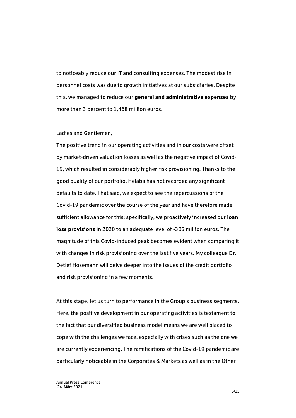to noticeably reduce our IT and consulting expenses. The modest rise in personnel costs was due to growth initiatives at our subsidiaries. Despite this, we managed to reduce our **general and administrative expenses** by more than 3 percent to 1,468 million euros.

#### Ladies and Gentlemen,

The positive trend in our operating activities and in our costs were offset by market-driven valuation losses as well as the negative impact of Covid-19, which resulted in considerably higher risk provisioning. Thanks to the good quality of our portfolio, Helaba has not recorded any significant defaults to date. That said, we expect to see the repercussions of the Covid-19 pandemic over the course of the year and have therefore made sufficient allowance for this; specifically, we proactively increased our **loan loss provisions** in 2020 to an adequate level of -305 million euros. The magnitude of this Covid-induced peak becomes evident when comparing it with changes in risk provisioning over the last five years. My colleague Dr. Detlef Hosemann will delve deeper into the issues of the credit portfolio and risk provisioning in a few moments.

At this stage, let us turn to performance in the Group's business segments. Here, the positive development in our operating activities is testament to the fact that our diversified business model means we are well placed to cope with the challenges we face, especially with crises such as the one we are currently experiencing. The ramifications of the Covid-19 pandemic are particularly noticeable in the Corporates & Markets as well as in the Other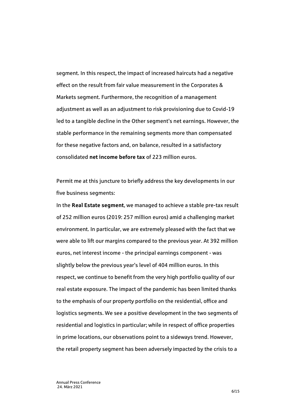segment. In this respect, the impact of increased haircuts had a negative effect on the result from fair value measurement in the Corporates & Markets segment. Furthermore, the recognition of a management adjustment as well as an adjustment to risk provisioning due to Covid-19 led to a tangible decline in the Other segment's net earnings. However, the stable performance in the remaining segments more than compensated for these negative factors and, on balance, resulted in a satisfactory consolidated **net income before tax** of 223 million euros.

Permit me at this juncture to briefly address the key developments in our five business segments:

In the **Real Estate segment**, we managed to achieve a stable pre-tax result of 252 million euros (2019: 257 million euros) amid a challenging market environment. In particular, we are extremely pleased with the fact that we were able to lift our margins compared to the previous year. At 392 million euros, net interest income - the principal earnings component - was slightly below the previous year's level of 404 million euros. In this respect, we continue to benefit from the very high portfolio quality of our real estate exposure. The impact of the pandemic has been limited thanks to the emphasis of our property portfolio on the residential, office and logistics segments. We see a positive development in the two segments of residential and logistics in particular; while in respect of office properties in prime locations, our observations point to a sideways trend. However, the retail property segment has been adversely impacted by the crisis to a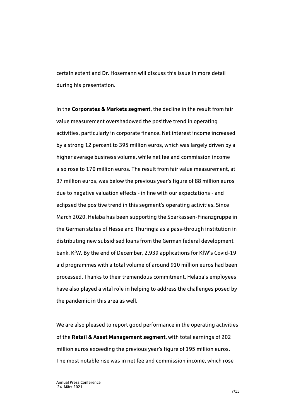certain extent and Dr. Hosemann will discuss this issue in more detail during his presentation.

In the **Corporates & Markets segment**, the decline in the result from fair value measurement overshadowed the positive trend in operating activities, particularly in corporate finance. Net interest income increased by a strong 12 percent to 395 million euros, which was largely driven by a higher average business volume, while net fee and commission income also rose to 170 million euros. The result from fair value measurement, at 37 million euros, was below the previous year's figure of 88 million euros due to negative valuation effects - in line with our expectations - and eclipsed the positive trend in this segment's operating activities. Since March 2020, Helaba has been supporting the Sparkassen-Finanzgruppe in the German states of Hesse and Thuringia as a pass-through institution in distributing new subsidised loans from the German federal development bank, KfW. By the end of December, 2,939 applications for KfW's Covid-19 aid programmes with a total volume of around 910 million euros had been processed. Thanks to their tremendous commitment, Helaba's employees have also played a vital role in helping to address the challenges posed by the pandemic in this area as well.

We are also pleased to report good performance in the operating activities of the **Retail & Asset Management segment**, with total earnings of 202 million euros exceeding the previous year's figure of 195 million euros. The most notable rise was in net fee and commission income, which rose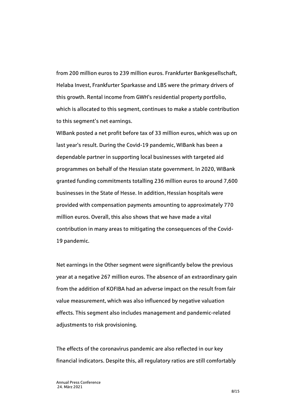from 200 million euros to 239 million euros. Frankfurter Bankgesellschaft, Helaba Invest, Frankfurter Sparkasse and LBS were the primary drivers of this growth. Rental income from GWH's residential property portfolio, which is allocated to this segment, continues to make a stable contribution to this segment's net earnings.

WIBank posted a net profit before tax of 33 million euros, which was up on last year's result. During the Covid-19 pandemic, WIBank has been a dependable partner in supporting local businesses with targeted aid programmes on behalf of the Hessian state government. In 2020, WIBank granted funding commitments totalling 236 million euros to around 7,600 businesses in the State of Hesse. In addition, Hessian hospitals were provided with compensation payments amounting to approximately 770 million euros. Overall, this also shows that we have made a vital contribution in many areas to mitigating the consequences of the Covid-19 pandemic.

Net earnings in the Other segment were significantly below the previous year at a negative 267 million euros. The absence of an extraordinary gain from the addition of KOFIBA had an adverse impact on the result from fair value measurement, which was also influenced by negative valuation effects. This segment also includes management and pandemic-related adjustments to risk provisioning.

The effects of the coronavirus pandemic are also reflected in our key financial indicators. Despite this, all regulatory ratios are still comfortably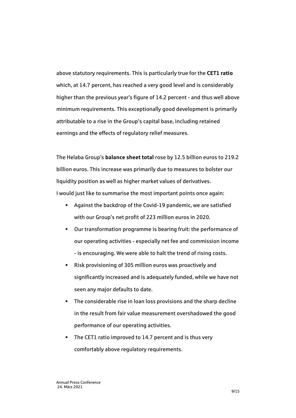above statutory requirements. This is particularly true for the **CET1 ratio** which, at 14.7 percent, has reached a very good level and is considerably higher than the previous year's figure of 14.2 percent - and thus well above minimum requirements. This exceptionally good development is primarily attributable to a rise in the Group's capital base, including retained earnings and the effects of regulatory relief measures.

The Helaba Group's **balance sheet total** rose by 12.5 billion euros to 219.2 billion euros. This increase was primarily due to measures to bolster our liquidity position as well as higher market values of derivatives. I would just like to summarise the most important points once again:

- Against the backdrop of the Covid-19 pandemic, we are satisfied with our Group's net profit of 223 million euros in 2020.
- Our transformation programme is bearing fruit: the performance of our operating activities - especially net fee and commission income - is encouraging. We were able to halt the trend of rising costs.
- Risk provisioning of 305 million euros was proactively and significantly increased and is adequately funded, while we have not seen any major defaults to date.
- **The considerable rise in loan loss provisions and the sharp decline** in the result from fair value measurement overshadowed the good performance of our operating activities.
- The CET1 ratio improved to 14.7 percent and is thus very comfortably above regulatory requirements.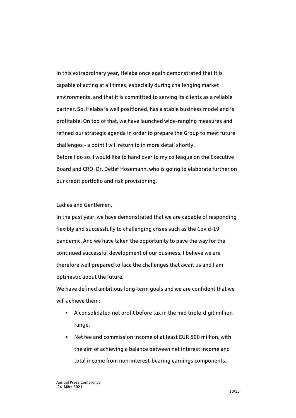In this extraordinary year, Helaba once again demonstrated that it is capable of acting at all times, especially during challenging market environments, and that it is committed to serving its clients as a reliable partner. So, Helaba is well positioned, has a stable business model and is profitable. On top of that, we have launched wide-ranging measures and refined our strategic agenda in order to prepare the Group to meet future challenges - a point I will return to in more detail shortly. Before I do so, I would like to hand over to my colleague on the Executive Board and CRO, Dr. Detlef Hosemann, who is going to elaborate further on our credit portfolio and risk provisioning.

Ladies and Gentlemen,

In the past year, we have demonstrated that we are capable of responding flexibly and successfully to challenging crises such as the Covid-19 pandemic. And we have taken the opportunity to pave the way for the continued successful development of our business. I believe we are therefore well prepared to face the challenges that await us and I am optimistic about the future.

We have defined ambitious long-term goals and we are confident that we will achieve them:

- A consolidated net profit before tax in the mid triple-digit million range.
- Net fee and commission income of at least EUR 500 million, with the aim of achieving a balance between net interest income and total income from non-interest-bearing earnings components.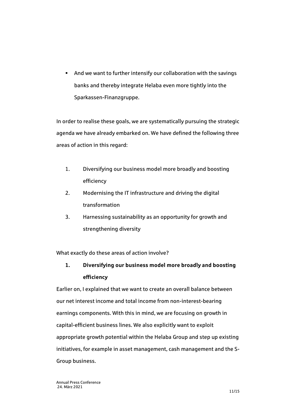And we want to further intensify our collaboration with the savings banks and thereby integrate Helaba even more tightly into the Sparkassen-Finanzgruppe.

In order to realise these goals, we are systematically pursuing the strategic agenda we have already embarked on. We have defined the following three areas of action in this regard:

- 1. Diversifying our business model more broadly and boosting efficiency
- 2. Modernising the IT infrastructure and driving the digital transformation
- 3. Harnessing sustainability as an opportunity for growth and strengthening diversity

What exactly do these areas of action involve?

# **1. Diversifying our business model more broadly and boosting efficiency**

Earlier on, I explained that we want to create an overall balance between our net interest income and total income from non-interest-bearing earnings components. With this in mind, we are focusing on growth in capital-efficient business lines. We also explicitly want to exploit appropriate growth potential within the Helaba Group and step up existing initiatives, for example in asset management, cash management and the S-Group business.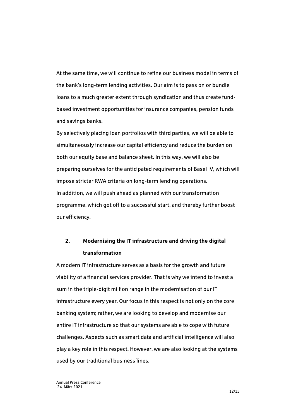At the same time, we will continue to refine our business model in terms of the bank's long-term lending activities. Our aim is to pass on or bundle loans to a much greater extent through syndication and thus create fundbased investment opportunities for insurance companies, pension funds and savings banks.

By selectively placing loan portfolios with third parties, we will be able to simultaneously increase our capital efficiency and reduce the burden on both our equity base and balance sheet. In this way, we will also be preparing ourselves for the anticipated requirements of Basel IV, which will impose stricter RWA criteria on long-term lending operations. In addition, we will push ahead as planned with our transformation programme, which got off to a successful start, and thereby further boost our efficiency.

## **2. Modernising the IT infrastructure and driving the digital transformation**

A modern IT infrastructure serves as a basis for the growth and future viability of a financial services provider. That is why we intend to invest a sum in the triple-digit million range in the modernisation of our IT infrastructure every year. Our focus in this respect is not only on the core banking system; rather, we are looking to develop and modernise our entire IT infrastructure so that our systems are able to cope with future challenges. Aspects such as smart data and artificial intelligence will also play a key role in this respect. However, we are also looking at the systems used by our traditional business lines.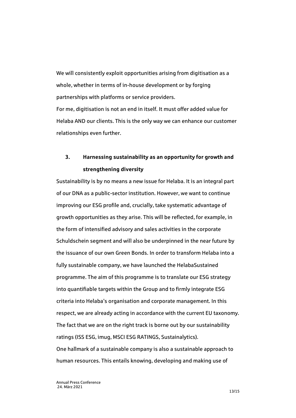We will consistently exploit opportunities arising from digitisation as a whole, whether in terms of in-house development or by forging partnerships with platforms or service providers. For me, digitisation is not an end in itself. It must offer added value for Helaba AND our clients. This is the only way we can enhance our customer relationships even further.

## **3. Harnessing sustainability as an opportunity for growth and strengthening diversity**

Sustainability is by no means a new issue for Helaba. It is an integral part of our DNA as a public-sector institution. However, we want to continue improving our ESG profile and, crucially, take systematic advantage of growth opportunities as they arise. This will be reflected, for example, in the form of intensified advisory and sales activities in the corporate Schuldschein segment and will also be underpinned in the near future by the issuance of our own Green Bonds. In order to transform Helaba into a fully sustainable company, we have launched the HelabaSustained programme. The aim of this programme is to translate our ESG strategy into quantifiable targets within the Group and to firmly integrate ESG criteria into Helaba's organisation and corporate management. In this respect, we are already acting in accordance with the current EU taxonomy. The fact that we are on the right track is borne out by our sustainability ratings (ISS ESG, imug, MSCI ESG RATINGS, Sustainalytics). One hallmark of a sustainable company is also a sustainable approach to human resources. This entails knowing, developing and making use of

13/15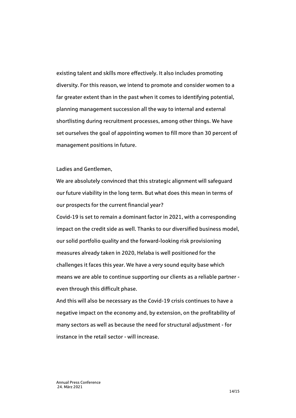existing talent and skills more effectively. It also includes promoting diversity. For this reason, we intend to promote and consider women to a far greater extent than in the past when it comes to identifying potential, planning management succession all the way to internal and external shortlisting during recruitment processes, among other things. We have set ourselves the goal of appointing women to fill more than 30 percent of management positions in future.

#### Ladies and Gentlemen,

We are absolutely convinced that this strategic alignment will safeguard our future viability in the long term. But what does this mean in terms of our prospects for the current financial year?

Covid-19 is set to remain a dominant factor in 2021, with a corresponding impact on the credit side as well. Thanks to our diversified business model, our solid portfolio quality and the forward-looking risk provisioning measures already taken in 2020, Helaba is well positioned for the challenges it faces this year. We have a very sound equity base which means we are able to continue supporting our clients as a reliable partner even through this difficult phase.

And this will also be necessary as the Covid-19 crisis continues to have a negative impact on the economy and, by extension, on the profitability of many sectors as well as because the need for structural adjustment - for instance in the retail sector - will increase.